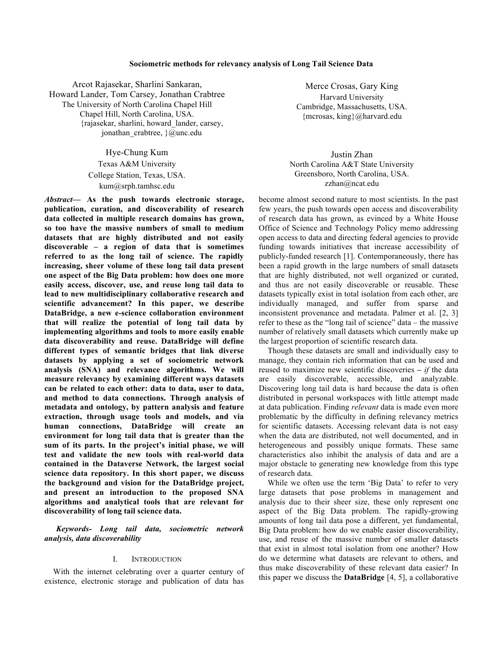### **Sociometric methods for relevancy analysis of Long Tail Science Data**

Arcot Rajasekar, Sharlini Sankaran, Howard Lander, Tom Carsey, Jonathan Crabtree The University of North Carolina Chapel Hill Chapel Hill, North Carolina, USA. {rajasekar, sharlini, howard\_lander, carsey, jonathan\_crabtree,  $\sqrt{a}$ unc.edu

> Hye-Chung Kum Texas A&M University College Station, Texas, USA. kum@srph.tamhsc.edu

*Abstract***— As the push towards electronic storage, publication, curation, and discoverability of research data collected in multiple research domains has grown, so too have the massive numbers of small to medium datasets that are highly distributed and not easily discoverable – a region of data that is sometimes referred to as the long tail of science. The rapidly increasing, sheer volume of these long tail data present one aspect of the Big Data problem: how does one more easily access, discover, use, and reuse long tail data to lead to new multidisciplinary collaborative research and scientific advancement? In this paper, we describe DataBridge, a new e-science collaboration environment that will realize the potential of long tail data by implementing algorithms and tools to more easily enable data discoverability and reuse. DataBridge will define different types of semantic bridges that link diverse datasets by applying a set of sociometric network analysis (SNA) and relevance algorithms. We will measure relevancy by examining different ways datasets can be related to each other: data to data, user to data, and method to data connections. Through analysis of metadata and ontology, by pattern analysis and feature extraction, through usage tools and models, and via human connections, DataBridge will create an environment for long tail data that is greater than the sum of its parts. In the project's initial phase, we will test and validate the new tools with real-world data contained in the Dataverse Network, the largest social science data repository. In this short paper, we discuss the background and vision for the DataBridge project, and present an introduction to the proposed SNA algorithms and analytical tools that are relevant for discoverability of long tail science data.**

*Keywords- Long tail data, sociometric network analysis, data discoverability*

# I. INTRODUCTION

With the internet celebrating over a quarter century of existence, electronic storage and publication of data has

Merce Crosas, Gary King Harvard University Cambridge, Massachusetts, USA. {mcrosas, king}@harvard.edu

Justin Zhan North Carolina A&T State University Greensboro, North Carolina, USA. zzhan@ncat.edu

become almost second nature to most scientists. In the past few years, the push towards open access and discoverability of research data has grown, as evinced by a White House Office of Science and Technology Policy memo addressing open access to data and directing federal agencies to provide funding towards initiatives that increase accessibility of publicly-funded research [1]. Contemporaneously, there has been a rapid growth in the large numbers of small datasets that are highly distributed, not well organized or curated, and thus are not easily discoverable or reusable. These datasets typically exist in total isolation from each other, are individually managed, and suffer from sparse and inconsistent provenance and metadata. Palmer et al. [2, 3] refer to these as the "long tail of science" data – the massive number of relatively small datasets which currently make up the largest proportion of scientific research data.

Though these datasets are small and individually easy to manage, they contain rich information that can be used and reused to maximize new scientific discoveries **–** *if* the data are easily discoverable, accessible, and analyzable. Discovering long tail data is hard because the data is often distributed in personal workspaces with little attempt made at data publication. Finding *relevant* data is made even more problematic by the difficulty in defining relevancy metrics for scientific datasets. Accessing relevant data is not easy when the data are distributed, not well documented, and in heterogeneous and possibly unique formats. These same characteristics also inhibit the analysis of data and are a major obstacle to generating new knowledge from this type of research data.

While we often use the term 'Big Data' to refer to very large datasets that pose problems in management and analysis due to their sheer size, these only represent one aspect of the Big Data problem. The rapidly-growing amounts of long tail data pose a different, yet fundamental, Big Data problem: how do we enable easier discoverability, use, and reuse of the massive number of smaller datasets that exist in almost total isolation from one another? How do we determine what datasets are relevant to others, and thus make discoverability of these relevant data easier? In this paper we discuss the **DataBridge** [4, 5], a collaborative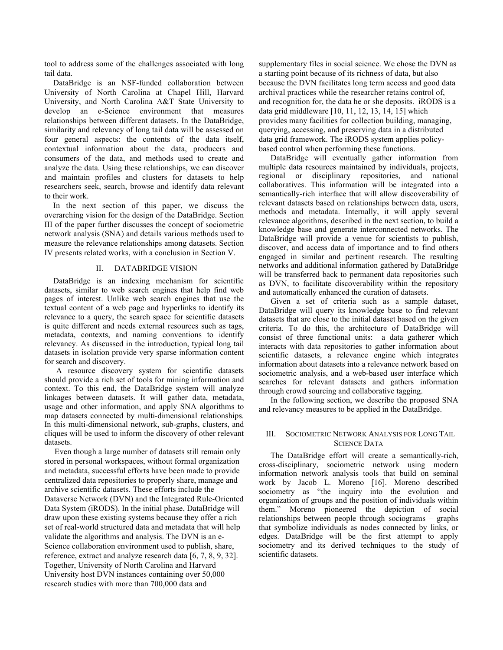tool to address some of the challenges associated with long tail data.

DataBridge is an NSF-funded collaboration between University of North Carolina at Chapel Hill, Harvard University, and North Carolina A&T State University to develop an e-Science environment that measures relationships between different datasets. In the DataBridge, similarity and relevancy of long tail data will be assessed on four general aspects: the contents of the data itself, contextual information about the data, producers and consumers of the data, and methods used to create and analyze the data. Using these relationships, we can discover and maintain profiles and clusters for datasets to help researchers seek, search, browse and identify data relevant to their work.

In the next section of this paper, we discuss the overarching vision for the design of the DataBridge. Section III of the paper further discusses the concept of sociometric network analysis (SNA) and details various methods used to measure the relevance relationships among datasets. Section IV presents related works, with a conclusion in Section V.

## II. DATABRIDGE VISION

DataBridge is an indexing mechanism for scientific datasets, similar to web search engines that help find web pages of interest. Unlike web search engines that use the textual content of a web page and hyperlinks to identify its relevance to a query, the search space for scientific datasets is quite different and needs external resources such as tags, metadata, contexts, and naming conventions to identify relevancy. As discussed in the introduction, typical long tail datasets in isolation provide very sparse information content for search and discovery.

A resource discovery system for scientific datasets should provide a rich set of tools for mining information and context. To this end, the DataBridge system will analyze linkages between datasets. It will gather data, metadata, usage and other information, and apply SNA algorithms to map datasets connected by multi-dimensional relationships. In this multi-dimensional network, sub-graphs, clusters, and cliques will be used to inform the discovery of other relevant datasets.

 Even though a large number of datasets still remain only stored in personal workspaces, without formal organization and metadata, successful efforts have been made to provide centralized data repositories to properly share, manage and archive scientific datasets. These efforts include the Dataverse Network (DVN) and the Integrated Rule-Oriented Data System (iRODS). In the initial phase, DataBridge will draw upon these existing systems because they offer a rich set of real-world structured data and metadata that will help validate the algorithms and analysis. The DVN is an e-Science collaboration environment used to publish, share, reference, extract and analyze research data [6, 7, 8, 9, 32]. Together, University of North Carolina and Harvard University host DVN instances containing over 50,000 research studies with more than 700,000 data and

supplementary files in social science. We chose the DVN as a starting point because of its richness of data, but also because the DVN facilitates long term access and good data archival practices while the researcher retains control of, and recognition for, the data he or she deposits. iRODS is a data grid middleware [10, 11, 12, 13, 14, 15] which provides many facilities for collection building, managing, querying, accessing, and preserving data in a distributed data grid framework. The iRODS system applies policybased control when performing these functions.

DataBridge will eventually gather information from multiple data resources maintained by individuals, projects, regional or disciplinary repositories, and national collaboratives. This information will be integrated into a semantically-rich interface that will allow discoverability of relevant datasets based on relationships between data, users, methods and metadata. Internally, it will apply several relevance algorithms, described in the next section, to build a knowledge base and generate interconnected networks. The DataBridge will provide a venue for scientists to publish, discover, and access data of importance and to find others engaged in similar and pertinent research. The resulting networks and additional information gathered by DataBridge will be transferred back to permanent data repositories such as DVN, to facilitate discoverability within the repository and automatically enhanced the curation of datasets.

Given a set of criteria such as a sample dataset, DataBridge will query its knowledge base to find relevant datasets that are close to the initial dataset based on the given criteria. To do this, the architecture of DataBridge will consist of three functional units: a data gatherer which interacts with data repositories to gather information about scientific datasets, a relevance engine which integrates information about datasets into a relevance network based on sociometric analysis, and a web-based user interface which searches for relevant datasets and gathers information through crowd sourcing and collaborative tagging.

In the following section, we describe the proposed SNA and relevancy measures to be applied in the DataBridge.

## III. SOCIOMETRIC NETWORK ANALYSIS FOR LONG TAIL SCIENCE DATA

The DataBridge effort will create a semantically-rich, cross-disciplinary, sociometric network using modern information network analysis tools that build on seminal work by Jacob L. Moreno [16]. Moreno described sociometry as "the inquiry into the evolution and organization of groups and the position of individuals within them." Moreno pioneered the depiction of social relationships between people through sociograms – graphs that symbolize individuals as nodes connected by links, or edges. DataBridge will be the first attempt to apply sociometry and its derived techniques to the study of scientific datasets.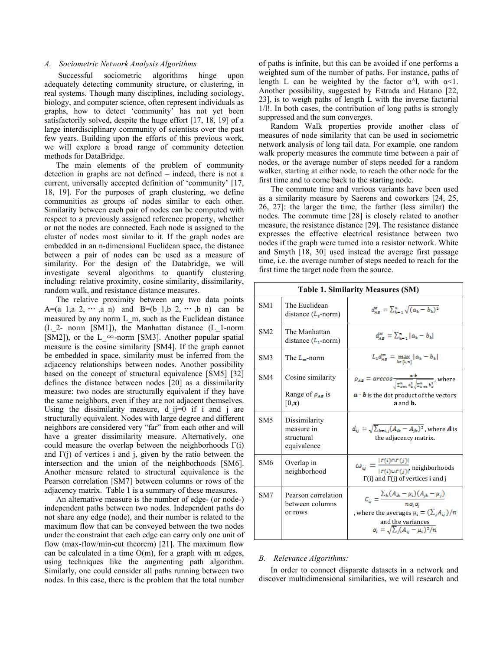### *A. Sociometric Network Analysis Algorithms*

Successful sociometric algorithms hinge upon adequately detecting community structure, or clustering, in real systems. Though many disciplines, including sociology, biology, and computer science, often represent individuals as graphs, how to detect 'community' has not yet been satisfactorily solved, despite the huge effort [17, 18, 19] of a large interdisciplinary community of scientists over the past few years. Building upon the efforts of this previous work, we will explore a broad range of community detection methods for DataBridge.

The main elements of the problem of community detection in graphs are not defined – indeed, there is not a current, universally accepted definition of 'community' [17, 18, 19]. For the purposes of graph clustering, we define communities as groups of nodes similar to each other. Similarity between each pair of nodes can be computed with respect to a previously assigned reference property, whether or not the nodes are connected. Each node is assigned to the cluster of nodes most similar to it. If the graph nodes are embedded in an n-dimensional Euclidean space, the distance between a pair of nodes can be used as a measure of similarity. For the design of the Databridge, we will investigate several algorithms to quantify clustering including: relative proximity, cosine similarity, dissimilarity, random walk, and resistance distance measures.

The relative proximity between any two data points A=(a\_1,a\_2, … ,a\_n) and B=(b\_1,b\_2, … ,b\_n) can be measured by any norm L\_m, such as the Euclidean distance (L\_2- norm [SM1]), the Manhattan distance (L\_1-norm [SM2]), or the L  $\infty$ -norm [SM3]. Another popular spatial measure is the cosine similarity [SM4]. If the graph cannot be embedded in space, similarity must be inferred from the adjacency relationships between nodes. Another possibility based on the concept of structural equivalence [SM5] [32] defines the distance between nodes [20] as a dissimilarity measure: two nodes are structurally equivalent if they have the same neighbors, even if they are not adjacent themselves. Using the dissimilarity measure, d  $ij=0$  if i and j are structurally equivalent. Nodes with large degree and different neighbors are considered very "far" from each other and will have a greater dissimilarity measure. Alternatively, one could measure the overlap between the neighborhoods  $\Gamma(i)$ and  $\Gamma(i)$  of vertices i and j, given by the ratio between the intersection and the union of the neighborhoods [SM6]. Another measure related to structural equivalence is the Pearson correlation [SM7] between columns or rows of the adjacency matrix. Table 1 is a summary of these measures.

An alternative measure is the number of edge- (or node-) independent paths between two nodes. Independent paths do not share any edge (node), and their number is related to the maximum flow that can be conveyed between the two nodes under the constraint that each edge can carry only one unit of flow (max-flow/min-cut theorem) [21]. The maximum flow can be calculated in a time  $O(m)$ , for a graph with m edges, using techniques like the augmenting path algorithm. Similarly, one could consider all paths running between two nodes. In this case, there is the problem that the total number

of paths is infinite, but this can be avoided if one performs a weighted sum of the number of paths. For instance, paths of length L can be weighted by the factor  $\alpha^{\lambda}$ , with  $\alpha < 1$ . Another possibility, suggested by Estrada and Hatano [22, 23], is to weigh paths of length L with the inverse factorial 1/l!. In both cases, the contribution of long paths is strongly suppressed and the sum converges.

Random Walk properties provide another class of measures of node similarity that can be used in sociometric network analysis of long tail data. For example, one random walk property measures the commute time between a pair of nodes, or the average number of steps needed for a random walker, starting at either node, to reach the other node for the first time and to come back to the starting node.

The commute time and various variants have been used as a similarity measure by Saerens and coworkers [24, 25, 26, 27]: the larger the time, the farther (less similar) the nodes. The commute time [28] is closely related to another measure, the resistance distance [29]. The resistance distance expresses the effective electrical resistance between two nodes if the graph were turned into a resistor network. White and Smyth [18, 30] used instead the average first passage time, i.e. the average number of steps needed to reach for the first time the target node from the source.

| <b>Table 1. Similarity Measures (SM)</b> |                                                          |                                                                                                                                                                                                             |
|------------------------------------------|----------------------------------------------------------|-------------------------------------------------------------------------------------------------------------------------------------------------------------------------------------------------------------|
| SM <sub>1</sub>                          | The Euclidean<br>distance $(L_2\text{-norm})$            | $d_{1\pi}^{\pi} = \sum_{k=1}^{\pi} \sqrt{(a_k - b_k)^2}$                                                                                                                                                    |
| SM2                                      | The Manhattan<br>distance $(L_1$ -norm)                  | $d_{xx}^M = \sum_{k=1}^n  a_k - b_k $                                                                                                                                                                       |
| SM3                                      | The $L_{-}$ -norm                                        | $L_1 d_{AB} = \max_{k \in [1, n]}  a_k - b_k $                                                                                                                                                              |
| SM4                                      | Cosine similarity                                        | $\rho_{AB} = \arccos \frac{a \cdot b}{\sqrt{\sum_{k=1}^{n} a_k^2} \sqrt{\sum_{k=1}^{n} b_k^2}}$ , where                                                                                                     |
|                                          | Range of $\rho_{AB}$ is<br>$[0,\pi)$                     | $a \cdot b$ is the dot product of the vectors<br>a and <b>b</b> .                                                                                                                                           |
| SM <sub>5</sub>                          | Dissimilarity<br>measure in<br>structural<br>equivalence | $d_{ii} = \sqrt{\sum_{k \neq i,j} (A_{ik} - A_{jk})^2}$ , where <b>A</b> is<br>the adjacency matrix.                                                                                                        |
| SM6                                      | Overlap in<br>neighborhood                               | $\omega_{ij} = \frac{ r(i)n r(j) }{ r(i)n r(j) }$ neighborhoods<br>$\Gamma(i)$ and $\Gamma(j)$ of vertices i and j                                                                                          |
| SM7                                      | Pearson correlation<br>between columns<br>or rows        | $C_{ij} = \frac{\sum_k (A_{ik} - \mu_i) (A_{jk} - \mu_j)}{n \sigma_i \sigma_i}$<br>, where the averages $\mu_i = (\sum_j A_{ij})/n$<br>and the variances<br>$\sigma_i = \sqrt{\sum_j (A_{ij} - \mu_i)^2}/n$ |

### *B. Relevance Algorithms:*

In order to connect disparate datasets in a network and discover multidimensional similarities, we will research and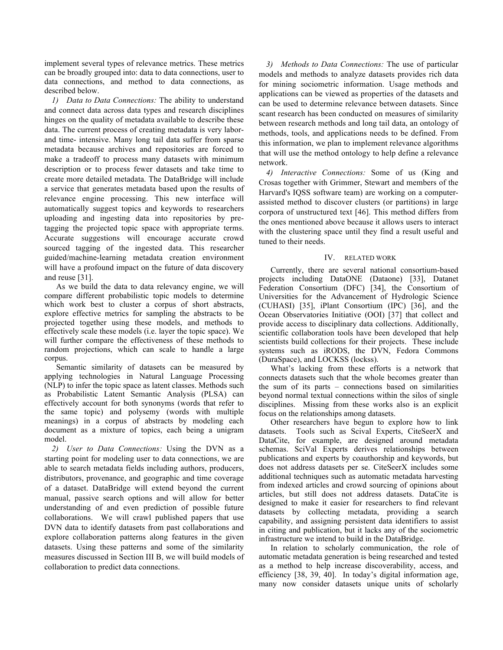implement several types of relevance metrics. These metrics can be broadly grouped into: data to data connections, user to data connections, and method to data connections, as described below.

*1) Data to Data Connections:* The ability to understand and connect data across data types and research disciplines hinges on the quality of metadata available to describe these data. The current process of creating metadata is very laborand time- intensive. Many long tail data suffer from sparse metadata because archives and repositories are forced to make a tradeoff to process many datasets with minimum description or to process fewer datasets and take time to create more detailed metadata. The DataBridge will include a service that generates metadata based upon the results of relevance engine processing. This new interface will automatically suggest topics and keywords to researchers uploading and ingesting data into repositories by pretagging the projected topic space with appropriate terms. Accurate suggestions will encourage accurate crowd sourced tagging of the ingested data. This researcher guided/machine-learning metadata creation environment will have a profound impact on the future of data discovery and reuse [31].

As we build the data to data relevancy engine, we will compare different probabilistic topic models to determine which work best to cluster a corpus of short abstracts, explore effective metrics for sampling the abstracts to be projected together using these models, and methods to effectively scale these models (i.e. layer the topic space). We will further compare the effectiveness of these methods to random projections, which can scale to handle a large corpus.

Semantic similarity of datasets can be measured by applying technologies in Natural Language Processing (NLP) to infer the topic space as latent classes. Methods such as Probabilistic Latent Semantic Analysis (PLSA) can effectively account for both synonyms (words that refer to the same topic) and polysemy (words with multiple meanings) in a corpus of abstracts by modeling each document as a mixture of topics, each being a unigram model.

*2) User to Data Connections:* Using the DVN as a starting point for modeling user to data connections, we are able to search metadata fields including authors, producers, distributors, provenance, and geographic and time coverage of a dataset. DataBridge will extend beyond the current manual, passive search options and will allow for better understanding of and even prediction of possible future collaborations. We will crawl published papers that use DVN data to identify datasets from past collaborations and explore collaboration patterns along features in the given datasets. Using these patterns and some of the similarity measures discussed in Section III B, we will build models of collaboration to predict data connections.

*3) Methods to Data Connections:* The use of particular models and methods to analyze datasets provides rich data for mining sociometric information. Usage methods and applications can be viewed as properties of the datasets and can be used to determine relevance between datasets. Since scant research has been conducted on measures of similarity between research methods and long tail data, an ontology of methods, tools, and applications needs to be defined. From this information, we plan to implement relevance algorithms that will use the method ontology to help define a relevance network.

*4) Interactive Connections:* Some of us (King and Crosas together with Grimmer, Stewart and members of the Harvard's IQSS software team) are working on a computerassisted method to discover clusters (or partitions) in large corpora of unstructured text [46]. This method differs from the ones mentioned above because it allows users to interact with the clustering space until they find a result useful and tuned to their needs.

### IV. RELATED WORK

Currently, there are several national consortium-based projects including DataONE (Dataone) [33], Datanet Federation Consortium (DFC) [34], the Consortium of Universities for the Advancement of Hydrologic Science (CUHASI) [35], iPlant Consortium (IPC) [36], and the Ocean Observatories Initiative (OOI) [37] that collect and provide access to disciplinary data collections. Additionally, scientific collaboration tools have been developed that help scientists build collections for their projects. These include systems such as iRODS, the DVN, Fedora Commons (DuraSpace), and LOCKSS (lockss).

What's lacking from these efforts is a network that connects datasets such that the whole becomes greater than the sum of its parts – connections based on similarities beyond normal textual connections within the silos of single disciplines. Missing from these works also is an explicit focus on the relationships among datasets.

Other researchers have begun to explore how to link datasets. Tools such as Scival Experts, CiteSeerX and DataCite, for example, are designed around metadata schemas. SciVal Experts derives relationships between publications and experts by coauthorship and keywords, but does not address datasets per se. CiteSeerX includes some additional techniques such as automatic metadata harvesting from indexed articles and crowd sourcing of opinions about articles, but still does not address datasets. DataCite is designed to make it easier for researchers to find relevant datasets by collecting metadata, providing a search capability, and assigning persistent data identifiers to assist in citing and publication, but it lacks any of the sociometric infrastructure we intend to build in the DataBridge.

In relation to scholarly communication, the role of automatic metadata generation is being researched and tested as a method to help increase discoverability, access, and efficiency [38, 39, 40]. In today's digital information age, many now consider datasets unique units of scholarly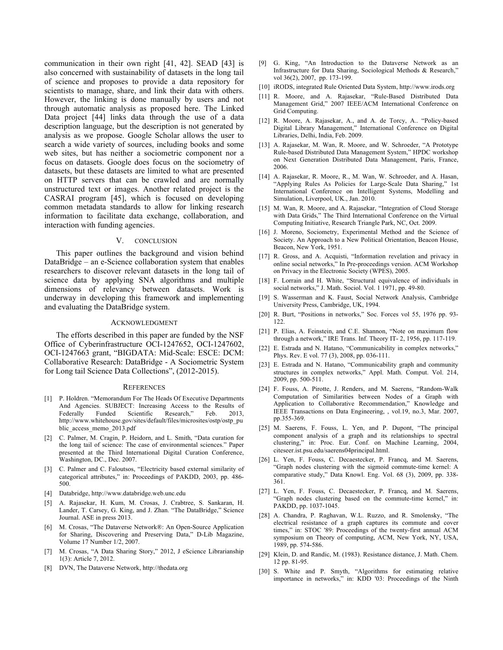communication in their own right [41, 42]. SEAD [43] is also concerned with sustainability of datasets in the long tail of science and proposes to provide a data repository for scientists to manage, share, and link their data with others. However, the linking is done manually by users and not through automatic analysis as proposed here. The Linked Data project [44] links data through the use of a data description language, but the description is not generated by analysis as we propose. Google Scholar allows the user to search a wide variety of sources, including books and some web sites, but has neither a sociometric component nor a focus on datasets. Google does focus on the sociometry of datasets, but these datasets are limited to what are presented on HTTP servers that can be crawled and are normally unstructured text or images. Another related project is the CASRAI program [45], which is focused on developing common metadata standards to allow for linking research information to facilitate data exchange, collaboration, and interaction with funding agencies.

### V. CONCLUSION

This paper outlines the background and vision behind DataBridge – an e-Science collaboration system that enables researchers to discover relevant datasets in the long tail of science data by applying SNA algorithms and multiple dimensions of relevancy between datasets. Work is underway in developing this framework and implementing and evaluating the DataBridge system.

#### ACKNOWLEDGMENT

The efforts described in this paper are funded by the NSF Office of Cyberinfrastructure OCI-1247652, OCI-1247602, OCI-1247663 grant, "BIGDATA: Mid-Scale: ESCE: DCM: Collaborative Research: DataBridge - A Sociometric System for Long tail Science Data Collections", (2012-2015).

#### **REFERENCES**

- [1] P. Holdren. "Memorandum For The Heads Of Executive Departments And Agencies. SUBJECT: Increasing Access to the Results of Federally Funded Scientific Research," Feb. 2013, http://www.whitehouse.gov/sites/default/files/microsites/ostp/ostp\_pu blic\_access\_memo\_2013.pdf
- [2] C. Palmer, M. Cragin, P. Heidorn, and L. Smith, "Data curation for the long tail of science: The case of environmental sciences." Paper presented at the Third International Digital Curation Conference, Washington, DC., Dec. 2007.
- [3] C. Palmer and C. Faloutsos, "Electricity based external similarity of categorical attributes," in: Proceedings of PAKDD, 2003, pp. 486- 500.
- [4] Databridge, http://www.databridge.web.unc.edu
- [5] A. Rajasekar, H. Kum, M. Crosas, J. Crabtree, S. Sankaran, H. Lander, T. Carsey, G. King, and J. Zhan. "The DataBridge," Science Journal. ASE in press 2013.
- [6] M. Crosas, "The Dataverse Network®: An Open-Source Application for Sharing, Discovering and Preserving Data," D-Lib Magazine, Volume 17 Number 1/2, 2007.
- [7] M. Crosas, "A Data Sharing Story," 2012, J eScience Librarianship 1(3): Article 7, 2012.
- [8] DVN, The Dataverse Network, http://thedata.org
- [9] G. King, "An Introduction to the Dataverse Network as an Infrastructure for Data Sharing, Sociological Methods & Research," vol 36(2), 2007, pp. 173-199.
- [10] iRODS, integrated Rule Oriented Data System, http://www.irods.org
- [11] R. Moore, and A. Rajasekar, "Rule-Based Distributed Data Management Grid," 2007 IEEE/ACM International Conference on Grid Computing.
- [12] R. Moore, A. Rajasekar, A., and A. de Torcy, A.. "Policy-based Digital Library Management," International Conference on Digital Libraries, Delhi, India, Feb. 2009.
- [13] A. Rajasekar, M. Wan, R. Moore, and W. Schroeder, "A Prototype Rule-based Distributed Data Management System," HPDC workshop on Next Generation Distributed Data Management, Paris, France, 2006.
- [14] A. Rajasekar, R. Moore, R., M. Wan, W. Schroeder, and A. Hasan, "Applying Rules As Policies for Large-Scale Data Sharing," 1st International Conference on Intelligent Systems, Modelling and Simulation, Liverpool, UK., Jan. 2010.
- [15] M. Wan, R. Moore, and A. Rajasekar, "Integration of Cloud Storage with Data Grids," The Third International Conference on the Virtual Computing Initiative, Research Triangle Park, NC, Oct. 2009.
- [16] J. Moreno, Sociometry, Experimental Method and the Science of Society. An Approach to a New Political Orientation, Beacon House, Beacon, New York, 1951.
- [17] R. Gross, and A. Acquisti, "Information revelation and privacy in online social networks," In Pre-proceedings version. ACM Workshop on Privacy in the Electronic Society (WPES), 2005.
- [18] F. Lorrain and H. White, "Structural equivalence of individuals in social networks," J. Math. Sociol. Vol. 1 1971, pp. 49-80.
- [19] S. Wasserman and K. Faust, Social Network Analysis, Cambridge University Press, Cambridge, UK, 1994.
- [20] R. Burt, "Positions in networks," Soc. Forces vol 55, 1976 pp. 93-122.
- [21] P. Elias, A. Feinstein, and C.E. Shannon, "Note on maximum flow through a network," IRE Trans. Inf. Theory IT- 2, 1956, pp. 117-119.
- [22] E. Estrada and N. Hatano, "Communicability in complex networks," Phys. Rev. E vol. 77 (3), 2008, pp. 036-111.
- [23] E. Estrada and N. Hatano, "Communicability graph and community structures in complex networks," Appl. Math. Comput. Vol. 214, 2009, pp. 500-511.
- [24] F. Fouss, A. Pirotte, J. Renders, and M. Saerens, "Random-Walk Computation of Similarities between Nodes of a Graph with Application to Collaborative Recommendation," Knowledge and IEEE Transactions on Data Engineering, , vol.19, no.3, Mar. 2007, pp.355-369.
- [25] M. Saerens, F. Fouss, L. Yen, and P. Dupont, "The principal component analysis of a graph and its relationships to spectral clustering," in: Proc. Eur. Conf. on Machine Learning, 2004, citeseer.ist.psu.edu/saerens04principal.html.
- [26] L. Yen, F. Fouss, C. Decaestecker, P. Francq, and M. Saerens, "Graph nodes clustering with the sigmoid commute-time kernel: A comparative study," Data Knowl. Eng. Vol. 68 (3), 2009, pp. 338- 361.
- [27] L. Yen, F. Fouss, C. Decaestecker, P. Francq, and M. Saerens, "Graph nodes clustering based on the commute-time kernel," in: PAKDD, pp. 1037-1045.
- [28] A. Chandra, P. Raghavan, W.L. Ruzzo, and R. Smolensky, "The electrical resistance of a graph captures its commute and cover times," in: STOC '89: Proceedings of the twenty-first annual ACM symposium on Theory of computing, ACM, New York, NY, USA, 1989, pp. 574-586.
- [29] Klein, D. and Randic, M. (1983). Resistance distance, J. Math. Chem. 12 pp. 81-95.
- [30] S. White and P. Smyth, "Algorithms for estimating relative importance in networks," in: KDD '03: Proceedings of the Ninth